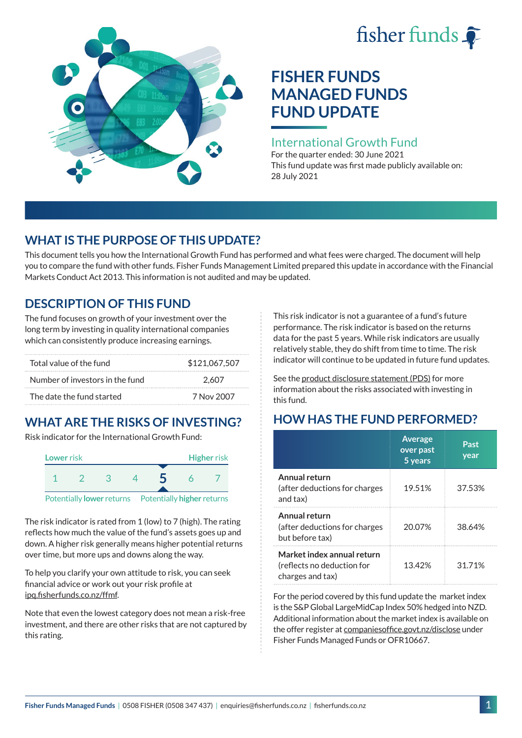# fisher funds  $\hat{\bullet}$



# **FISHER FUNDS MANAGED FUNDS FUND UPDATE**

## International Growth Fund

For the quarter ended: 30 June 2021 This fund update was first made publicly available on: 28 July 2021

# **WHAT IS THE PURPOSE OF THIS UPDATE?**

This document tells you how the International Growth Fund has performed and what fees were charged. The document will help you to compare the fund with other funds. Fisher Funds Management Limited prepared this update in accordance with the Financial Markets Conduct Act 2013. This information is not audited and may be updated.

# **DESCRIPTION OF THIS FUND**

The fund focuses on growth of your investment over the long term by investing in quality international companies which can consistently produce increasing earnings.

| Total value of the fund         | \$121,067,507 |  |  |
|---------------------------------|---------------|--|--|
| Number of investors in the fund | 2.607         |  |  |
| The date the fund started       | 7 Nov 2007    |  |  |

# **WHAT ARE THE RISKS OF INVESTING?**

Risk indicator for the International Growth Fund:



The risk indicator is rated from 1 (low) to 7 (high). The rating reflects how much the value of the fund's assets goes up and down. A higher risk generally means higher potential returns over time, but more ups and downs along the way.

To help you clarify your own attitude to risk, you can seek financial advice or work out your risk profile at [ipq.fisherfunds.co.nz/ffmf](https://ipq.fisherfunds.co.nz/ffmf).

Note that even the lowest category does not mean a risk-free investment, and there are other risks that are not captured by this rating.

This risk indicator is not a guarantee of a fund's future performance. The risk indicator is based on the returns data for the past 5 years. While risk indicators are usually relatively stable, they do shift from time to time. The risk indicator will continue to be updated in future fund updates.

See the [product disclosure statement \(PDS\)](https://fisherfunds.co.nz/assets/PDS/Fisher-Funds-Managed-Funds-PDS.pdf) for more information about the risks associated with investing in this fund.

# **HOW HAS THE FUND PERFORMED?**

|                                                                              | <b>Average</b><br>over past<br>5 years | Past<br>year |
|------------------------------------------------------------------------------|----------------------------------------|--------------|
| Annual return<br>(after deductions for charges<br>and tax)                   | 19.51%                                 | 37.53%       |
| Annual return<br>(after deductions for charges<br>but before tax)            | 20.07%                                 | 38.64%       |
| Market index annual return<br>(reflects no deduction for<br>charges and tax) | 13.42%                                 | 31.71%       |

For the period covered by this fund update the market index is the S&P Global LargeMidCap Index 50% hedged into NZD. Additional information about the market index is available on the offer register at [companiesoffice.govt.nz/disclose](http://companiesoffice.govt.nz/disclose) under Fisher Funds Managed Funds or OFR10667.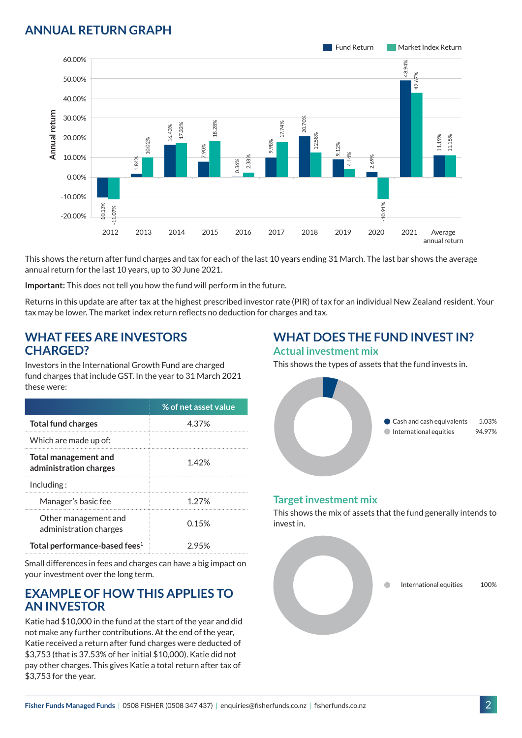## **ANNUAL RETURN GRAPH**



This shows the return after fund charges and tax for each of the last 10 years ending 31 March. The last bar shows the average annual return for the last 10 years, up to 30 June 2021.

**Important:** This does not tell you how the fund will perform in the future.

Returns in this update are after tax at the highest prescribed investor rate (PIR) of tax for an individual New Zealand resident. Your tax may be lower. The market index return reflects no deduction for charges and tax.

#### **WHAT FEES ARE INVESTORS CHARGED?**

Investors in the International Growth Fund are charged fund charges that include GST. In the year to 31 March 2021 these were:

|                                                | % of net asset value |
|------------------------------------------------|----------------------|
| <b>Total fund charges</b>                      | 4.37%                |
| Which are made up of:                          |                      |
| Total management and<br>administration charges | 1.42%                |
| Inding:                                        |                      |
| Manager's basic fee                            | 1.27%                |
| Other management and<br>administration charges | 0.15%                |
| Total performance-based fees <sup>1</sup>      | 2.95%                |

Small differences in fees and charges can have a big impact on your investment over the long term.

### **EXAMPLE OF HOW THIS APPLIES TO AN INVESTOR**

Katie had \$10,000 in the fund at the start of the year and did not make any further contributions. At the end of the year, Katie received a return after fund charges were deducted of \$3,753 (that is 37.53% of her initial \$10,000). Katie did not pay other charges. This gives Katie a total return after tax of \$3,753 for the year.

# **WHAT DOES THE FUND INVEST IN?**

#### **Actual investment mix**

This shows the types of assets that the fund invests in.



#### **Target investment mix**

This shows the mix of assets that the fund generally intends to invest in.